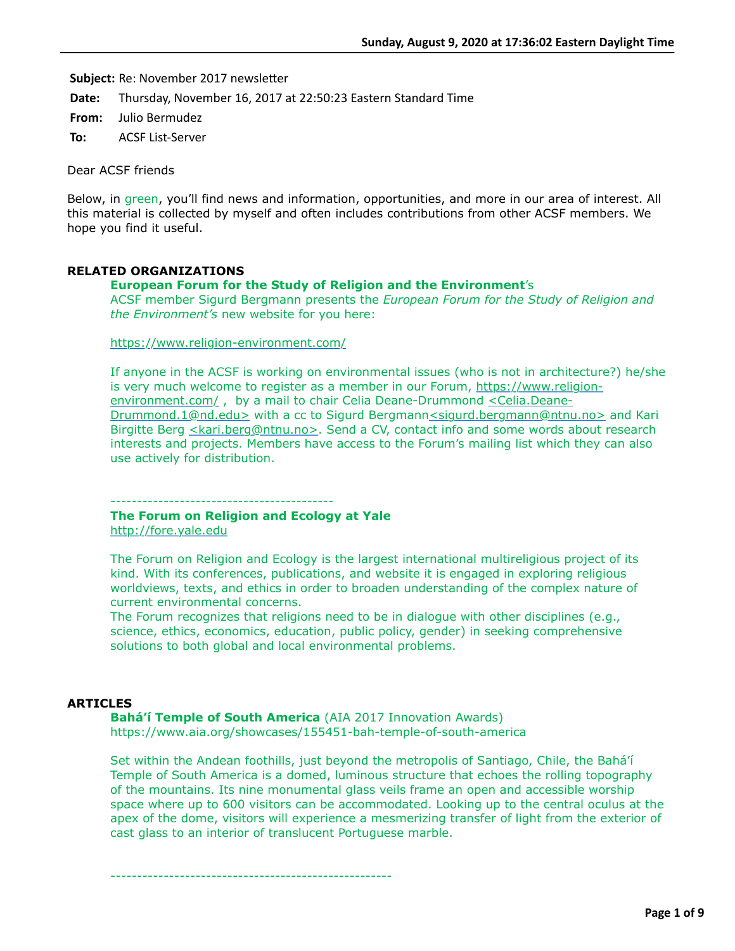**Subject:** Re: November 2017 newsletter

**Date:** Thursday, November 16, 2017 at 22:50:23 Eastern Standard Time

**From:** Julio Bermudez

**To:** ACSF List-Server

Dear ACSF friends

Below, in green, you'll find news and information, opportunities, and more in our area of interest. All this material is collected by myself and often includes contributions from other ACSF members. We hope you find it useful.

#### **RELATED ORGANIZATIONS**

#### **European Forum for the Study of Religion and the Environment**'s

ACSF member Sigurd Bergmann presents the *European Forum for the Study of Religion and the Environment's* new website for you here:

<https://www.religion-environment.com/>

If anyone in the ACSF is working on environmental issues (who is not in architecture?) he/she [is very much welcome to register as a member in our Forum, https://www.religion](https://www.religion-environment.com/)environment.com/, by a mail to chair Celia Deane-Drummond <Celia.Deane-[Drummond.1@nd.edu> with a cc to Sigurd Bergmann<sigurd.bergmann@ntn](mailto:Celia.Deane-Drummond.1@nd.edu)[u.no>](mailto:sigurd.bergmann@ntnu.no) and Kari Birgitte Berg [<kari.berg@ntnu.no>](mailto:kari.berg@ntnu.no). Send a CV, contact info and some words about research interests and projects. Members have access to the Forum's mailing list which they can also use actively for distribution.

------------------------------------------

# **The Forum on Religion and Ecology at Yale**

[http://fore.yale.edu](http://fore.yale.edu/)

The Forum on Religion and Ecology is the largest international multireligious project of its kind. With its conferences, publications, and website it is engaged in exploring religious worldviews, texts, and ethics in order to broaden understanding of the complex nature of current environmental concerns.

The Forum recognizes that religions need to be in dialogue with other disciplines (e.g., science, ethics, economics, education, public policy, gender) in seeking comprehensive solutions to both global and local environmental problems.

#### **ARTICLES**

**Bahá'í Temple of South America** (AIA 2017 Innovation Awards) https://www.aia.org/showcases/155451-bah-temple-of-south-america

Set within the Andean foothills, just beyond the metropolis of Santiago, Chile, the Bahá'í Temple of South America is a domed, luminous structure that echoes the rolling topography of the mountains. Its nine monumental glass veils frame an open and accessible worship space where up to 600 visitors can be accommodated. Looking up to the central oculus at the apex of the dome, visitors will experience a mesmerizing transfer of light from the exterior of cast glass to an interior of translucent Portuguese marble.

-----------------------------------------------------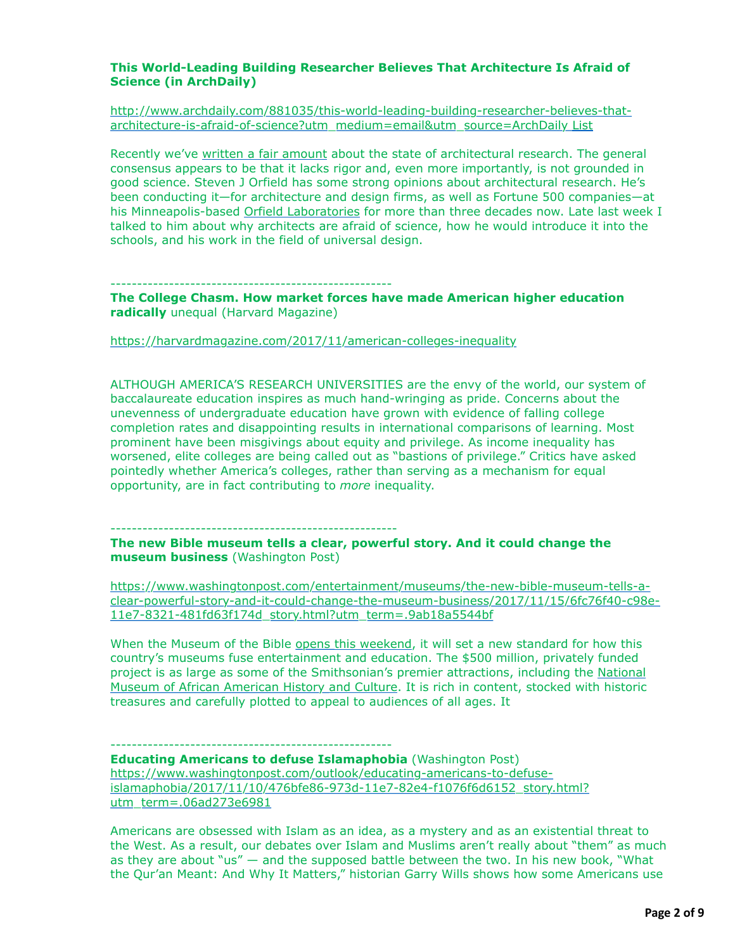## **This World-Leading Building Researcher Believes That Architecture Is Afraid of Science (in ArchDaily)**

[http://www.archdaily.com/881035/this-world-leading-building-researcher-believes-that](http://www.archdaily.com/881035/this-world-leading-building-researcher-believes-that-architecture-is-afraid-of-science?utm_medium=email&utm_source=ArchDaily%20List)architecture-is-afraid-of-science?utm\_medium=email&utm\_source=ArchDaily List

Recently we've [written a fair amount](http://www.archdaily.com/876901/a-brief-history-of-the-impoverished-culture-of-architectural-research) about the state of architectural research. The general consensus appears to be that it lacks rigor and, even more importantly, is not grounded in good science. Steven J Orfield has some strong opinions about architectural research. He's been conducting it—for architecture and design firms, as well as Fortune 500 companies—at his Minneapolis-based [Orfield Laboratories](http://www.orfieldlabs.com/) for more than three decades now. Late last week I talked to him about why architects are afraid of science, how he would introduce it into the schools, and his work in the field of universal design.

-----------------------------------------------------

**The College Chasm. How market forces have made American higher education radically** unequal (Harvard Magazine)

<https://harvardmagazine.com/2017/11/american-colleges-inequality>

ALTHOUGH AMERICA'S RESEARCH UNIVERSITIES are the envy of the world, our system of baccalaureate education inspires as much hand-wringing as pride. Concerns about the unevenness of undergraduate education have grown with evidence of falling college completion rates and disappointing results in international comparisons of learning. Most prominent have been misgivings about equity and privilege. As income inequality has worsened, elite colleges are being called out as "bastions of privilege." Critics have asked pointedly whether America's colleges, rather than serving as a mechanism for equal opportunity, are in fact contributing to *more* inequality.

------------------------------------------------------

**The new Bible museum tells a clear, powerful story. And it could change the museum business** (Washington Post)

https://www.washingtonpost.com/entertainment/museums/the-new-bible-museum-tells-a[clear-powerful-story-and-it-could-change-the-museum-business/2017/11/15/6fc76f40-c98e-](https://www.washingtonpost.com/entertainment/museums/the-new-bible-museum-tells-a-clear-powerful-story-and-it-could-change-the-museum-business/2017/11/15/6fc76f40-c98e-11e7-8321-481fd63f174d_story.html?utm_term=.9ab18a5544bf)11e7-8321-481fd63f174d\_story.html?utm\_term=.9ab18a5544bf

When the Museum of the Bible [opens this weekend](https://www.washingtonpost.com/entertainment/museums/bible-museum-expects-capacity-crowds-for-opening/2017/11/10/17d02030-c596-11e7-afe9-4f60b5a6c4a0_story.html?utm_term=.3c60f064c25b), it will set a new standard for how this country's museums fuse entertainment and education. The \$500 million, privately funded [project is as large as some of the Smithsonian's premier attractions, including the National](https://www.washingtonpost.com/entertainment/museums/the-african-american-museum-a-year-later-still-the-hottest-ticket-in-town/2017/09/22/15aa027e-8cf4-11e7-84c0-02cc069f2c37_story.html?utm_term=.3945b1cfd9a7) Museum of African American History [and Culture](https://www.washingtonpost.com/entertainment/museums/the-african-american-museum-a-year-later-still-the-hottest-ticket-in-town/2017/09/22/15aa027e-8cf4-11e7-84c0-02cc069f2c37_story.html?utm_term=.3945b1cfd9a7). It is rich in content, stocked with historic treasures and carefully plotted to appeal to audiences of all ages. It

## -----------------------------------------------------

**Educating Americans to defuse Islamaphobia** (Washington Post) https://www.washingtonpost.com/outlook/educating-americans-to-defuse[islamaphobia/2017/11/10/476bfe86-973d-11e7-82e4-f1076f6d6152\\_story.html?](https://www.washingtonpost.com/outlook/educating-americans-to-defuse-islamaphobia/2017/11/10/476bfe86-973d-11e7-82e4-f1076f6d6152_story.html?utm_term=.06ad273e6981) utm\_term=.06ad273e6981

Americans are obsessed with Islam as an idea, as a mystery and as an existential threat to the West. As a result, our debates over Islam and Muslims aren't really about "them" as much as they are about "us" — and the supposed battle between the two. In his new book, "What the Qur'an Meant: And Why It Matters," historian Garry Wills shows how some Americans use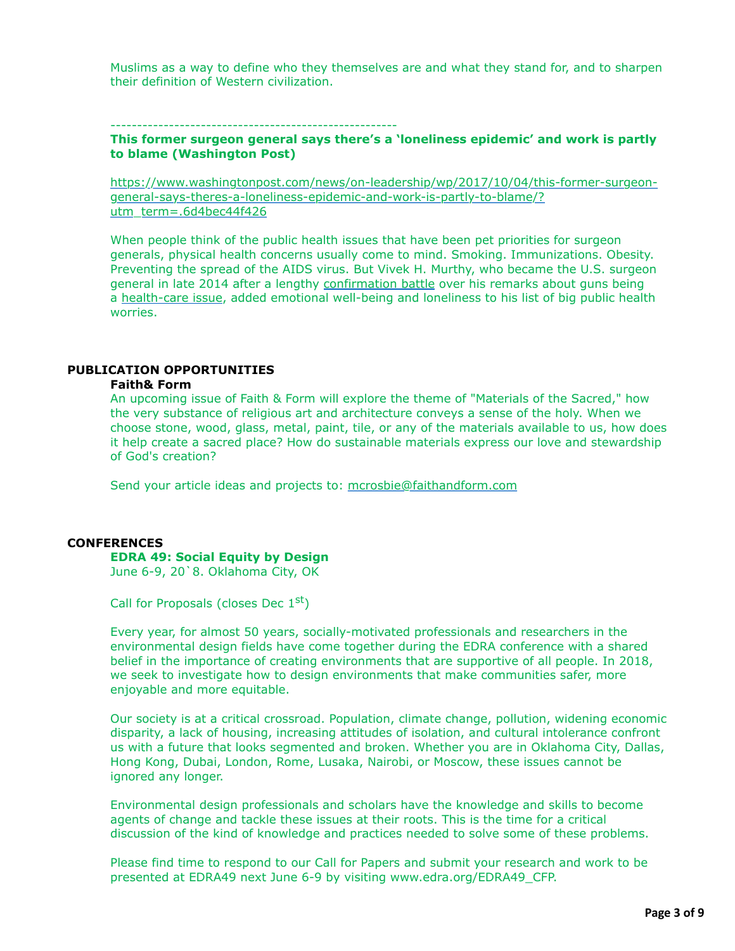Muslims as a way to define who they themselves are and what they stand for, and to sharpen their definition of Western civilization.

### ------------------------------------------------------

**This former surgeon general says there's a 'loneliness epidemic' and work is partly to blame (Washington Post)**

[https://www.washingtonpost.com/news/on-leadership/wp/2017/10/04/this-former-surgeon](https://www.washingtonpost.com/news/on-leadership/wp/2017/10/04/this-former-surgeon-general-says-theres-a-loneliness-epidemic-and-work-is-partly-to-blame/?utm_term=.6d4bec44f426)general-says-theres-a-loneliness-epidemic-and-work-is-partly-to-blame/? utm\_term=.6d4bec44f426

When people think of the public health issues that have been pet priorities for surgeon generals, physical health concerns usually come to mind. Smoking. Immunizations. Obesity. Preventing the spread of the AIDS virus. But Vivek H. Murthy, who became the U.S. surgeon general in late 2014 after a lengthy [confirmation battle](https://www.washingtonpost.com/news/post-politics/wp/2014/12/15/surgeon-general-nominee-vivek-murthy-opposed-by-gun-lobby-confirmed/?utm_term=.0d2ad9ef675f) over his remarks about guns being a [health-care issue](https://www.nytimes.com/2014/12/17/science/a-new-surgeon-general-unafraid-of-taking-a-stand-on-a-divisive-issue.html), added emotional well-being and loneliness to his list of big public health worries.

## **PUBLICATION OPPORTUNITIES**

#### **Faith& Form**

An upcoming issue of Faith & Form will explore the theme of "Materials of the Sacred," how the very substance of religious art and architecture conveys a sense of the holy. When we choose stone, wood, glass, metal, paint, tile, or any of the materials available to us, how does it help create a sacred place? How do sustainable materials express our love and stewardship of God's creation?

Send your article ideas and projects to: [mcrosbie@faithandform.com](mailto:mcrosbie@faithandform.com)

### **CONFERENCES**

#### **EDRA 49: Social Equity by Design**

June 6-9, 20`8. Oklahoma City, OK

Call for Proposals (closes Dec  $1<sup>st</sup>$ )

Every year, for almost 50 years, socially-motivated professionals and researchers in the environmental design fields have come together during the EDRA conference with a shared belief in the importance of creating environments that are supportive of all people. In 2018, we seek to investigate how to design environments that make communities safer, more enjoyable and more equitable.

Our society is at a critical crossroad. Population, climate change, pollution, widening economic disparity, a lack of housing, increasing attitudes of isolation, and cultural intolerance confront us with a future that looks segmented and broken. Whether you are in Oklahoma City, Dallas, Hong Kong, Dubai, London, Rome, Lusaka, Nairobi, or Moscow, these issues cannot be ignored any longer.

Environmental design professionals and scholars have the knowledge and skills to become agents of change and tackle these issues at their roots. This is the time for a critical discussion of the kind of knowledge and practices needed to solve some of these problems.

Please find time to respond to our Call for Papers and submit your research and work to be presented at EDRA49 next June 6-9 by visiting www.edra.org/EDRA49\_CFP.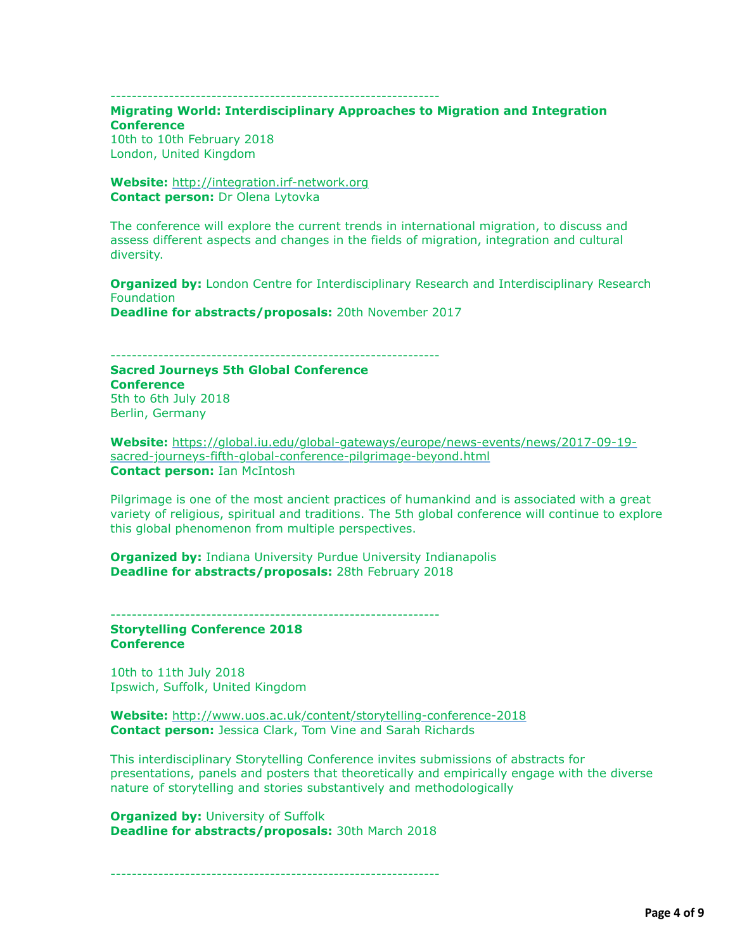--------------------------------------------------------------

## **Migrating World: Interdisciplinary Approaches to Migration and Integration Conference**

10th to 10th February 2018 London, United Kingdom

**Website:** [http://integration.irf-network.org](http://integration.irf-network.org/) **Contact person:** Dr Olena Lytovka

The conference will explore the current trends in international migration, to discuss and assess different aspects and changes in the fields of migration, integration and cultural diversity.

**Organized by:** London Centre for Interdisciplinary Research and Interdisciplinary Research Foundation

**Deadline for abstracts/proposals:** 20th November 2017

--------------------------------------------------------------

**Sacred Journeys 5th Global Conference Conference** 5th to 6th July 2018 Berlin, Germany

**Website:** [https://global.iu.edu/global-gateways/europe/news-events/news/2017-09-19](https://global.iu.edu/global-gateways/europe/news-events/news/2017-09-19-sacred-journeys-fifth-global-conference-pilgrimage-beyond.html) sacred-journeys-fifth-global-conference-pilgrimage-beyond.html **Contact person:** Ian McIntosh

Pilgrimage is one of the most ancient practices of humankind and is associated with a great variety of religious, spiritual and traditions. The 5th global conference will continue to explore this global phenomenon from multiple perspectives.

**Organized by:** Indiana University Purdue University Indianapolis **Deadline for abstracts/proposals:** 28th February 2018

--------------------------------------------------------------

**Storytelling Conference 2018 Conference**

10th to 11th July 2018 Ipswich, Suffolk, United Kingdom

**Website:** <http://www.uos.ac.uk/content/storytelling-conference-2018> **Contact person:** Jessica Clark, Tom Vine and Sarah Richards

This interdisciplinary Storytelling Conference invites submissions of abstracts for presentations, panels and posters that theoretically and empirically engage with the diverse nature of storytelling and stories substantively and methodologically

**Organized by: University of Suffolk Deadline for abstracts/proposals:** 30th March 2018

--------------------------------------------------------------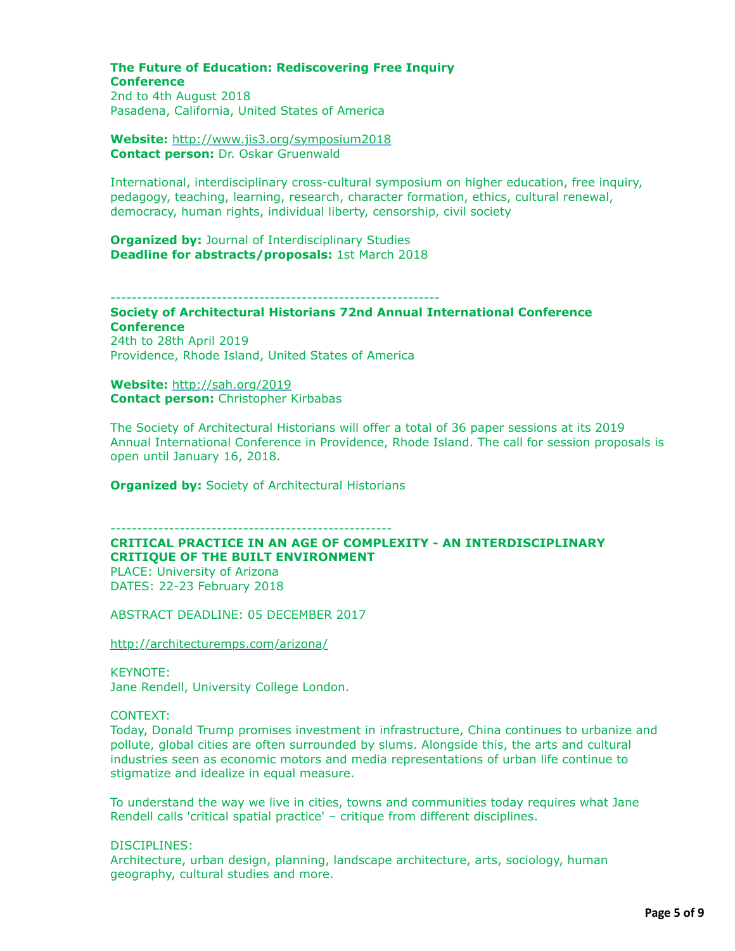#### **The Future of Education: Rediscovering Free Inquiry Conference** 2nd to 4th August 2018

Pasadena, California, United States of America

**Website:** <http://www.jis3.org/symposium2018> **Contact person:** Dr. Oskar Gruenwald

International, interdisciplinary cross-cultural symposium on higher education, free inquiry, pedagogy, teaching, learning, research, character formation, ethics, cultural renewal, democracy, human rights, individual liberty, censorship, civil society

**Organized by: Journal of Interdisciplinary Studies Deadline for abstracts/proposals:** 1st March 2018

--------------------------------------------------------------

### **Society of Architectural Historians 72nd Annual International Conference Conference** 24th to 28th April 2019

Providence, Rhode Island, United States of America

**Website:** <http://sah.org/2019> **Contact person:** Christopher Kirbabas

The Society of Architectural Historians will offer a total of 36 paper sessions at its 2019 Annual International Conference in Providence, Rhode Island. The call for session proposals is open until January 16, 2018.

**Organized by:** Society of Architectural Historians

-----------------------------------------------------

## **CRITICAL PRACTICE IN AN AGE OF COMPLEXITY - AN INTERDISCIPLINARY CRITIQUE OF THE BUILT ENVIRONMENT**

PLACE: University of Arizona DATES: 22-23 February 2018

ABSTRACT DEADLINE: 05 DECEMBER 2017

<http://architecturemps.com/arizona/>

KEYNOTE: Jane Rendell, University College London.

CONTEXT:

Today, Donald Trump promises investment in infrastructure, China continues to urbanize and pollute, global cities are often surrounded by slums. Alongside this, the arts and cultural industries seen as economic motors and media representations of urban life continue to stigmatize and idealize in equal measure.

To understand the way we live in cities, towns and communities today requires what Jane Rendell calls 'critical spatial practice' – critique from different disciplines.

DISCIPLINES:

Architecture, urban design, planning, landscape architecture, arts, sociology, human geography, cultural studies and more.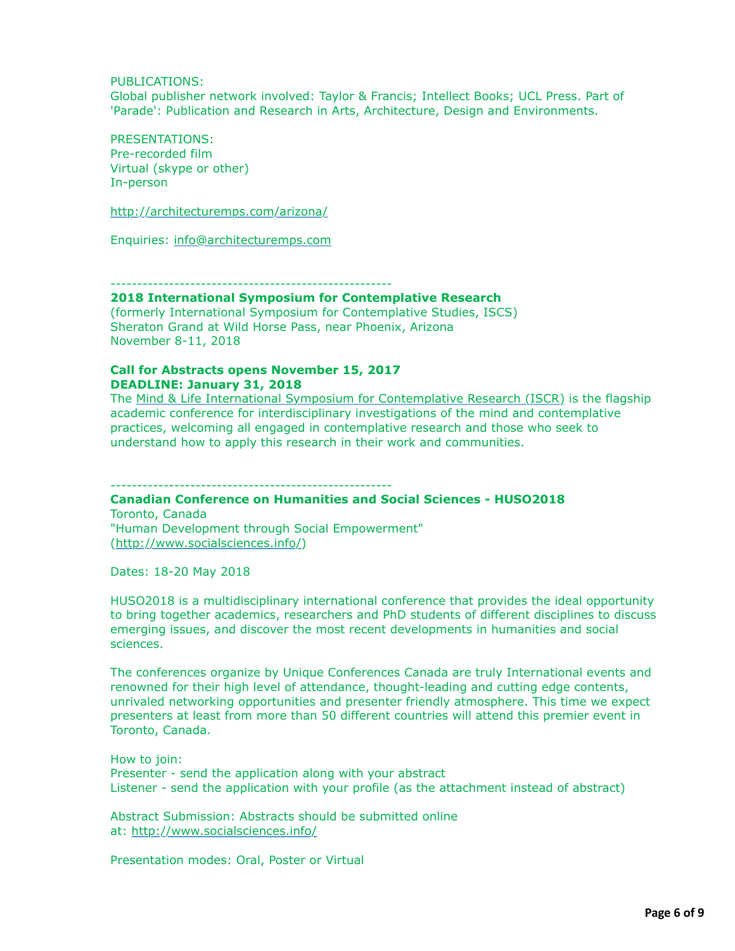#### PUBLICATIONS:

Global publisher network involved: Taylor & Francis; Intellect Books; UCL Press. Part of 'Parade': Publication and Research in Arts, Architecture, Design and Environments.

## PRESENTATIONS: Pre-recorded film Virtual (skype or other) In-person

<http://architecturemps.com/arizona/>

Enquiries: [info@architecturemps.com](mailto:info@architecturemps.com)

-----------------------------------------------------

#### **2018 International Symposium for Contemplative Research**

(formerly International Symposium for Contemplative Studies, ISCS) Sheraton Grand at Wild Horse Pass, near Phoenix, Arizona November 8-11, 2018

#### **Call for Abstracts opens November 15, 2017 DEADLINE: January 31, 2018**

The [Mind & Life International Symposium for Contemplative Research \(ISCR\)](https://mindandlife.us14.list-manage.com/track/click?u=355c6a6366a1228ae8d9ae2dc&id=e7f87bec1a&e=29a40ae53c) is the flagship academic conference for interdisciplinary investigations of the mind and contemplative practices, welcoming all engaged in contemplative research and those who seek to understand how to apply this research in their work and communities.

-----------------------------------------------------

## **Canadian Conference on Humanities and Social Sciences - HUSO2018**

Toronto, Canada "Human Development through Social Empowerment" [\(http://www.socialsciences.info/](http://www.socialsciences.info/))

Dates: 18-20 May 2018

HUSO2018 is a multidisciplinary international conference that provides the ideal opportunity to bring together academics, researchers and PhD students of different disciplines to discuss emerging issues, and discover the most recent developments in humanities and social sciences.

The conferences organize by Unique Conferences Canada are truly International events and renowned for their high level of attendance, thought-leading and cutting edge contents, unrivaled networking opportunities and presenter friendly atmosphere. This time we expect presenters at least from more than 50 different countries will attend this premier event in Toronto, Canada.

How to join: Presenter - send the application along with your abstract Listener - send the application with your profile (as the attachment instead of abstract)

Abstract Submission: Abstracts should be submitted online at: <http://www.socialsciences.info/>

Presentation modes: Oral, Poster or Virtual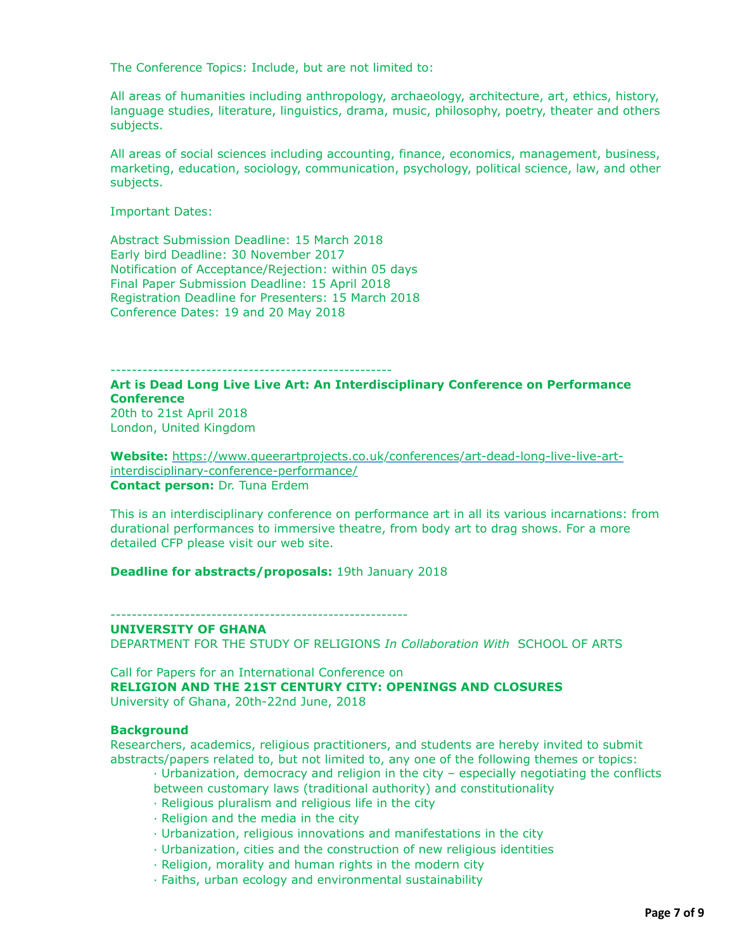The Conference Topics: Include, but are not limited to:

All areas of humanities including anthropology, archaeology, architecture, art, ethics, history, language studies, literature, linguistics, drama, music, philosophy, poetry, theater and others subjects.

All areas of social sciences including accounting, finance, economics, management, business, marketing, education, sociology, communication, psychology, political science, law, and other subjects.

Important Dates:

Abstract Submission Deadline: 15 March 2018 Early bird Deadline: 30 November 2017 Notification of Acceptance/Rejection: within 05 days Final Paper Submission Deadline: 15 April 2018 Registration Deadline for Presenters: 15 March 2018 Conference Dates: 19 and 20 May 2018

-----------------------------------------------------

**Art is Dead Long Live Live Art: An Interdisciplinary Conference on Performance Conference** 20th to 21st April 2018 London, United Kingdom

**Website:** [https://www.queerartprojects.co.uk/conferences/art-dead-long-live-live-art](https://www.queerartprojects.co.uk/conferences/art-dead-long-live-live-art-interdisciplinary-conference-performance/)interdisciplinary-conference-performance/ **Contact person:** Dr. Tuna Erdem

This is an interdisciplinary conference on performance art in all its various incarnations: from durational performances to immersive theatre, from body art to drag shows. For a more detailed CFP please visit our web site.

#### **Deadline for abstracts/proposals:** 19th January 2018

-------------------------------------------------------- **UNIVERSITY OF GHANA** 

DEPARTMENT FOR THE STUDY OF RELIGIONS *In Collaboration With* SCHOOL OF ARTS

Call for Papers for an International Conference on **RELIGION AND THE 21ST CENTURY CITY: OPENINGS AND CLOSURES**  University of Ghana, 20th-22nd June, 2018

#### **Background**

Researchers, academics, religious practitioners, and students are hereby invited to submit abstracts/papers related to, but not limited to, any one of the following themes or topics:

- · Urbanization, democracy and religion in the city especially negotiating the conflicts
- between customary laws (traditional authority) and constitutionality
- · Religious pluralism and religious life in the city
- · Religion and the media in the city
- · Urbanization, religious innovations and manifestations in the city
- · Urbanization, cities and the construction of new religious identities
- · Religion, morality and human rights in the modern city
- · Faiths, urban ecology and environmental sustainability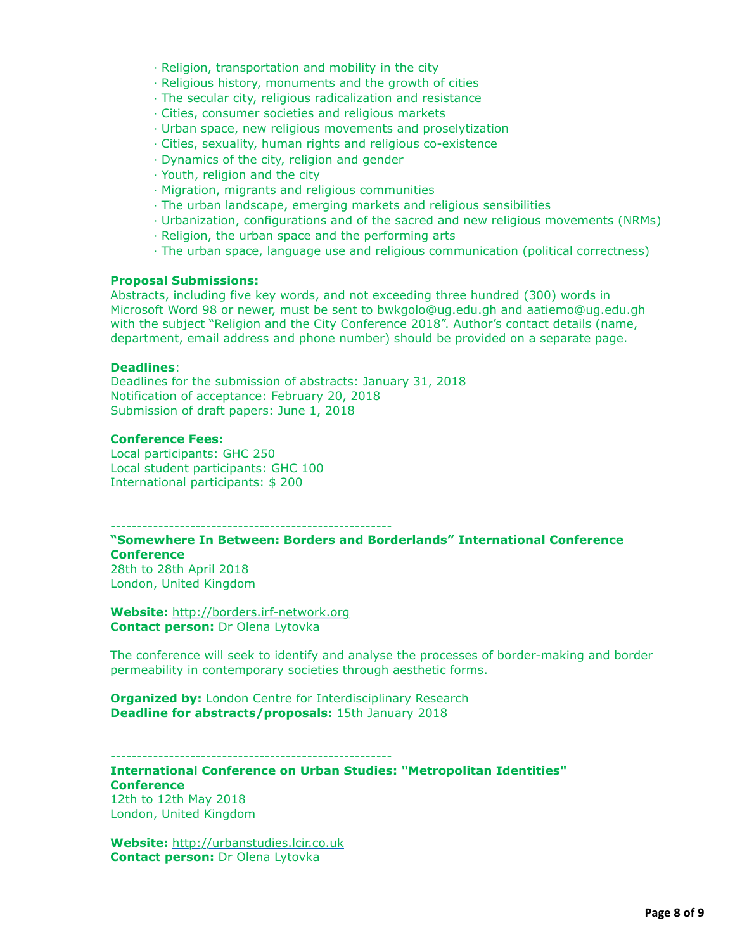- · Religion, transportation and mobility in the city
- · Religious history, monuments and the growth of cities
- · The secular city, religious radicalization and resistance
- · Cities, consumer societies and religious markets
- · Urban space, new religious movements and proselytization
- · Cities, sexuality, human rights and religious co-existence
- · Dynamics of the city, religion and gender
- · Youth, religion and the city
- · Migration, migrants and religious communities
- · The urban landscape, emerging markets and religious sensibilities
- · Urbanization, configurations and of the sacred and new religious movements (NRMs)
- · Religion, the urban space and the performing arts
- · The urban space, language use and religious communication (political correctness)

#### **Proposal Submissions:**

Abstracts, including five key words, and not exceeding three hundred (300) words in Microsoft Word 98 or newer, must be sent to bwkgolo@ug.edu.gh and aatiemo@ug.edu.gh with the subject "Religion and the City Conference 2018". Author's contact details (name, department, email address and phone number) should be provided on a separate page.

#### **Deadlines**:

Deadlines for the submission of abstracts: January 31, 2018 Notification of acceptance: February 20, 2018 Submission of draft papers: June 1, 2018

#### **Conference Fees:**

Local participants: GHC 250 Local student participants: GHC 100 International participants: \$ 200

-----------------------------------------------------

#### **"Somewhere In Between: Borders and Borderlands" International Conference Conference** 28th to 28th April 2018

London, United Kingdom

**Website:** [http://borders.irf-network.org](http://borders.irf-network.org/) **Contact person:** Dr Olena Lytovka

The conference will seek to identify and analyse the processes of border-making and border permeability in contemporary societies through aesthetic forms.

**Organized by: London Centre for Interdisciplinary Research Deadline for abstracts/proposals:** 15th January 2018

-----------------------------------------------------

**International Conference on Urban Studies: "Metropolitan Identities" Conference** 12th to 12th May 2018 London, United Kingdom

**Website:** [http://urbanstudies.lcir.co.uk](http://urbanstudies.lcir.co.uk/) **Contact person:** Dr Olena Lytovka